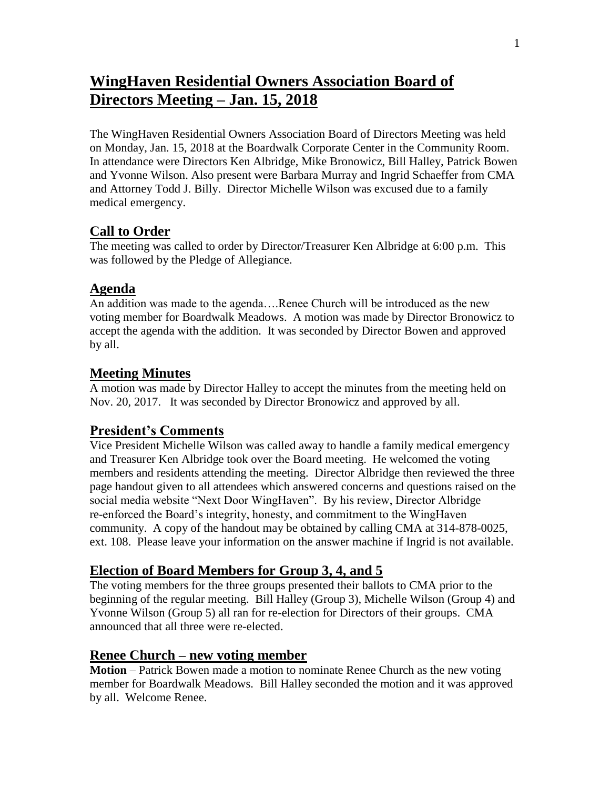# **WingHaven Residential Owners Association Board of Directors Meeting – Jan. 15, 2018**

The WingHaven Residential Owners Association Board of Directors Meeting was held on Monday, Jan. 15, 2018 at the Boardwalk Corporate Center in the Community Room. In attendance were Directors Ken Albridge, Mike Bronowicz, Bill Halley, Patrick Bowen and Yvonne Wilson. Also present were Barbara Murray and Ingrid Schaeffer from CMA and Attorney Todd J. Billy. Director Michelle Wilson was excused due to a family medical emergency.

### **Call to Order**

The meeting was called to order by Director/Treasurer Ken Albridge at 6:00 p.m. This was followed by the Pledge of Allegiance.

### **Agenda**

An addition was made to the agenda….Renee Church will be introduced as the new voting member for Boardwalk Meadows. A motion was made by Director Bronowicz to accept the agenda with the addition. It was seconded by Director Bowen and approved by all.

# **Meeting Minutes**

A motion was made by Director Halley to accept the minutes from the meeting held on Nov. 20, 2017. It was seconded by Director Bronowicz and approved by all.

# **President's Comments**

Vice President Michelle Wilson was called away to handle a family medical emergency and Treasurer Ken Albridge took over the Board meeting. He welcomed the voting members and residents attending the meeting. Director Albridge then reviewed the three page handout given to all attendees which answered concerns and questions raised on the social media website "Next Door WingHaven". By his review, Director Albridge re-enforced the Board's integrity, honesty, and commitment to the WingHaven community. A copy of the handout may be obtained by calling CMA at 314-878-0025, ext. 108. Please leave your information on the answer machine if Ingrid is not available.

# **Election of Board Members for Group 3, 4, and 5**

The voting members for the three groups presented their ballots to CMA prior to the beginning of the regular meeting. Bill Halley (Group 3), Michelle Wilson (Group 4) and Yvonne Wilson (Group 5) all ran for re-election for Directors of their groups. CMA announced that all three were re-elected.

### **Renee Church – new voting member**

**Motion** – Patrick Bowen made a motion to nominate Renee Church as the new voting member for Boardwalk Meadows. Bill Halley seconded the motion and it was approved by all. Welcome Renee.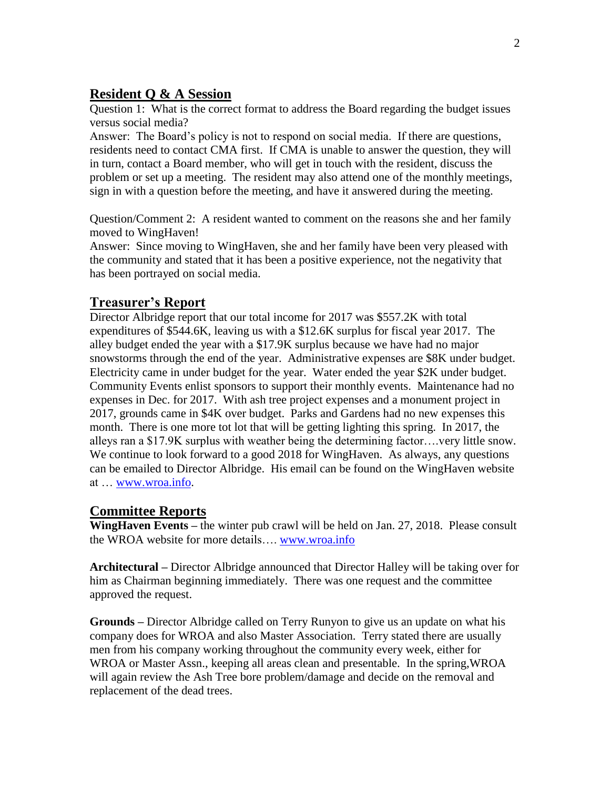# **Resident Q & A Session**

Question 1: What is the correct format to address the Board regarding the budget issues versus social media?

Answer: The Board's policy is not to respond on social media. If there are questions, residents need to contact CMA first. If CMA is unable to answer the question, they will in turn, contact a Board member, who will get in touch with the resident, discuss the problem or set up a meeting. The resident may also attend one of the monthly meetings, sign in with a question before the meeting, and have it answered during the meeting.

Question/Comment 2: A resident wanted to comment on the reasons she and her family moved to WingHaven!

Answer: Since moving to WingHaven, she and her family have been very pleased with the community and stated that it has been a positive experience, not the negativity that has been portrayed on social media.

# **Treasurer's Report**

Director Albridge report that our total income for 2017 was \$557.2K with total expenditures of \$544.6K, leaving us with a \$12.6K surplus for fiscal year 2017. The alley budget ended the year with a \$17.9K surplus because we have had no major snowstorms through the end of the year. Administrative expenses are \$8K under budget. Electricity came in under budget for the year. Water ended the year \$2K under budget. Community Events enlist sponsors to support their monthly events. Maintenance had no expenses in Dec. for 2017. With ash tree project expenses and a monument project in 2017, grounds came in \$4K over budget. Parks and Gardens had no new expenses this month. There is one more tot lot that will be getting lighting this spring. In 2017, the alleys ran a \$17.9K surplus with weather being the determining factor….very little snow. We continue to look forward to a good 2018 for WingHaven. As always, any questions can be emailed to Director Albridge. His email can be found on the WingHaven website at … [www.wroa.info.](http://www.wroa.info/)

### **Committee Reports**

**WingHaven Events –** the winter pub crawl will be held on Jan. 27, 2018. Please consult the WROA website for more details…. [www.wroa.info](http://www.wroa.info/)

**Architectural –** Director Albridge announced that Director Halley will be taking over for him as Chairman beginning immediately. There was one request and the committee approved the request.

**Grounds –** Director Albridge called on Terry Runyon to give us an update on what his company does for WROA and also Master Association. Terry stated there are usually men from his company working throughout the community every week, either for WROA or Master Assn., keeping all areas clean and presentable. In the spring,WROA will again review the Ash Tree bore problem/damage and decide on the removal and replacement of the dead trees.